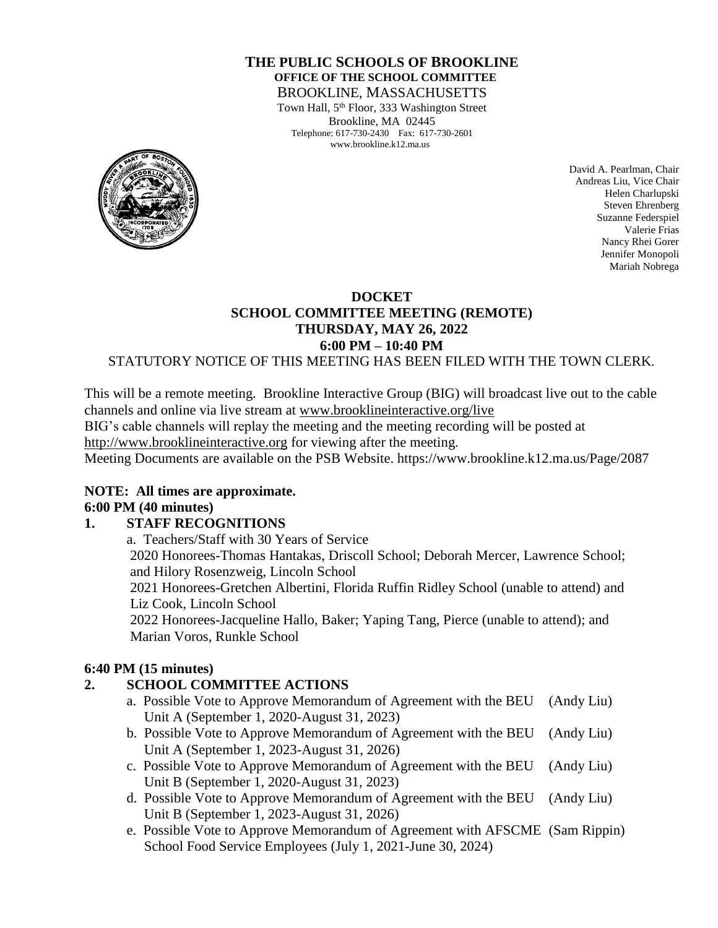#### **THE PUBLIC SCHOOLS OF BROOKLINE OFFICE OF THE SCHOOL COMMITTEE** BROOKLINE, MASSACHUSETTS

Town Hall, 5<sup>th</sup> Floor, 333 Washington Street Brookline, MA 02445 Telephone: 617-730-2430 Fax: 617-730-2601 www.brookline.k12.ma.us



David A. Pearlman, Chair Andreas Liu, Vice Chair Helen Charlupski Steven Ehrenberg Suzanne Federspiel Valerie Frias Nancy Rhei Gorer Jennifer Monopoli Mariah Nobrega

## **DOCKET SCHOOL COMMITTEE MEETING (REMOTE) THURSDAY, MAY 26, 2022 6:00 PM – 10:40 PM**

#### STATUTORY NOTICE OF THIS MEETING HAS BEEN FILED WITH THE TOWN CLERK.

This will be a remote meeting. Brookline Interactive Group (BIG) will broadcast live out to the cable channels and online via live stream at [www.brooklineinteractive.org/live](https://protect-us.mimecast.com/s/nSb0CG6Q8xuLqW1DHYBFG-?domain=brooklineinteractive.org)

BIG's cable channels will replay the meeting and the meeting recording will be posted at

[http://www.brooklineinteractive.org](https://protect-us.mimecast.com/s/ziZBCER6xvc6nngoFwrIh2?domain=brooklineinteractive.org) for viewing after the meeting.

Meeting Documents are available on the PSB Website. https://www.brookline.k12.ma.us/Page/2087

#### **NOTE: All times are approximate. 6:00 PM (40 minutes)**

## **1. STAFF RECOGNITIONS**

a. Teachers/Staff with 30 Years of Service 2020 Honorees-Thomas Hantakas, Driscoll School; Deborah Mercer, Lawrence School; and Hilory Rosenzweig, Lincoln School 2021 Honorees-Gretchen Albertini, Florida Ruffin Ridley School (unable to attend) and Liz Cook, Lincoln School 2022 Honorees-Jacqueline Hallo, Baker; Yaping Tang, Pierce (unable to attend); and Marian Voros, Runkle School

## **6:40 PM (15 minutes)**

## **2. SCHOOL COMMITTEE ACTIONS**

- a. Possible Vote to Approve Memorandum of Agreement with the BEU (Andy Liu) Unit A (September 1, 2020-August 31, 2023)
- b. Possible Vote to Approve Memorandum of Agreement with the BEU (Andy Liu) Unit A (September 1, 2023-August 31, 2026)
- c. Possible Vote to Approve Memorandum of Agreement with the BEU (Andy Liu) Unit B (September 1, 2020-August 31, 2023)
- d. Possible Vote to Approve Memorandum of Agreement with the BEU (Andy Liu) Unit B (September 1, 2023-August 31, 2026)
- e. Possible Vote to Approve Memorandum of Agreement with AFSCME (Sam Rippin) School Food Service Employees (July 1, 2021-June 30, 2024)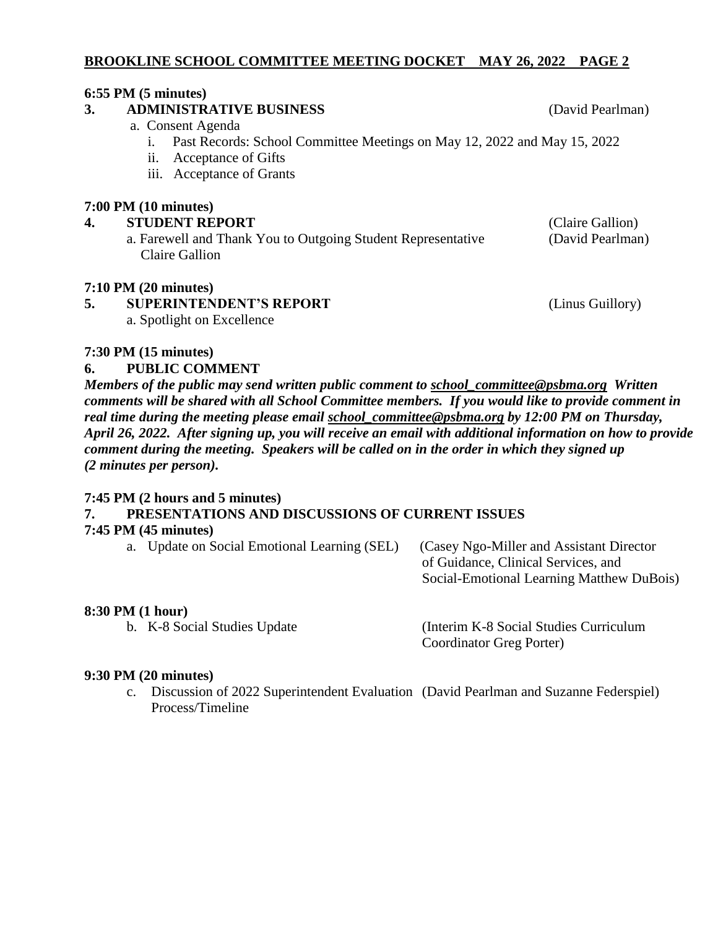# **BROOKLINE SCHOOL COMMITTEE MEETING DOCKET MAY 26, 2022 PAGE 2**

# **6:55 PM (5 minutes)**

#### **3. ADMINISTRATIVE BUSINESS** (David Pearlman)

- a. Consent Agenda
	- i. Past Records: School Committee Meetings on May 12, 2022 and May 15, 2022
	- ii. Acceptance of Gifts
	- iii. Acceptance of Grants

## **7:00 PM (10 minutes)**

# **4. STUDENT REPORT** (Claire Gallion)

a. Farewell and Thank You to Outgoing Student Representative (David Pearlman) Claire Gallion

# **7:10 PM (20 minutes)**

#### **5. SUPERINTENDENT'S REPORT** (Linus Guillory) a. Spotlight on Excellence

**7:30 PM (15 minutes)**

# **6. PUBLIC COMMENT**

*Members of the public may send written public comment to [school\\_committee@psbma.org](mailto:school_committee@psbma.org) Written comments will be shared with all School Committee members. If you would like to provide comment in real time during the meeting please email [school\\_committee@psbma.org](mailto:school_committee@psbma.org) by 12:00 PM on Thursday, April 26, 2022. After signing up, you will receive an email with additional information on how to provide comment during the meeting. Speakers will be called on in the order in which they signed up (2 minutes per person).* 

## **7:45 PM (2 hours and 5 minutes)**

# **7. PRESENTATIONS AND DISCUSSIONS OF CURRENT ISSUES**

## **7:45 PM (45 minutes)**

a. Update on Social Emotional Learning (SEL) (Casey Ngo-Miller and Assistant Director

 of Guidance, Clinical Services, and Social-Emotional Learning Matthew DuBois)

## **8:30 PM (1 hour)**

b. K-8 Social Studies Update (Interim K-8 Social Studies Curriculum Coordinator Greg Porter)

#### **9:30 PM (20 minutes)**

c. Discussion of 2022 Superintendent Evaluation (David Pearlman and Suzanne Federspiel) Process/Timeline